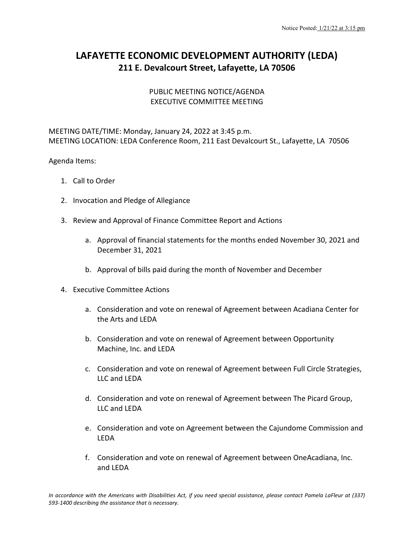## **LAFAYETTE ECONOMIC DEVELOPMENT AUTHORITY (LEDA) 211 E. Devalcourt Street, Lafayette, LA 70506**

## PUBLIC MEETING NOTICE/AGENDA EXECUTIVE COMMITTEE MEETING

MEETING DATE/TIME: Monday, January 24, 2022 at 3:45 p.m. MEETING LOCATION: LEDA Conference Room, 211 East Devalcourt St., Lafayette, LA 70506

## Agenda Items:

- 1. Call to Order
- 2. Invocation and Pledge of Allegiance
- 3. Review and Approval of Finance Committee Report and Actions
	- a. Approval of financial statements for the months ended November 30, 2021 and December 31, 2021
	- b. Approval of bills paid during the month of November and December
- 4. Executive Committee Actions
	- a. Consideration and vote on renewal of Agreement between Acadiana Center for the Arts and LEDA
	- b. Consideration and vote on renewal of Agreement between Opportunity Machine, Inc. and LEDA
	- c. Consideration and vote on renewal of Agreement between Full Circle Strategies, LLC and LEDA
	- d. Consideration and vote on renewal of Agreement between The Picard Group, LLC and LEDA
	- e. Consideration and vote on Agreement between the Cajundome Commission and LEDA
	- f. Consideration and vote on renewal of Agreement between OneAcadiana, Inc. and LEDA